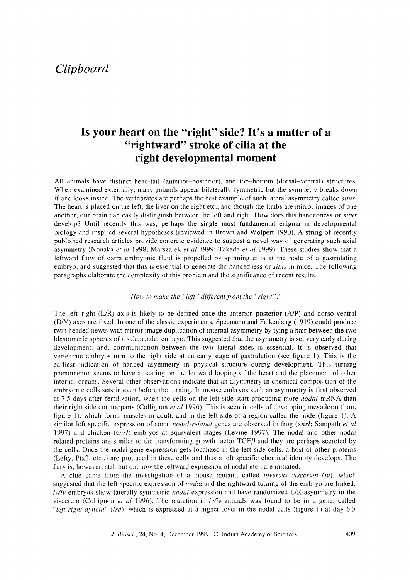# *Clipboard*

## **Is your heart on the "right" side? It's a matter of a "rightward" stroke of cilia at the right developmental moment**

All animals have distinct head-tail (anterior-posterior), and top-bottom (dorsal-ventral) structures. When examined externally, many animals appear bilaterally symmetric but the symmetry breaks down if one looks inside. The vertebrates are perhaps the best example of such lateral asymmetry called *situs.*  The heart is placed on the left, the liver on the right etc., and though the limbs are mirror images of one another, our brain can easily distinguish between the left and right. How does this handedness or *situs*  develop? Until recently this was, perhaps the single most fundamental enigma in developmental biology and inspired several hypotheses (reviewed in Brown and Wolpert 1990). A string of recently published research articles provide concrete evidence to suggest a novel way of generating such axial asymmetry (Nonaka *et al* 1998; Marszalek *et al* 1999; Takeda *et al* 1999). These studies show that a leftward flow of extra embryonic fluid is propelled by spinning cilia at the node of a gastrulating embryo, and suggested that this is essential to generate the handedness or *situs* in mice. The following paragraphs elaborate the complexity of this problem and the significance of recent results.

#### *How to make the "left" different from the "right"?*

The left--right (L/R) axis is likely to be defined once the anterior-posterior (A/P) and dorso-ventral (D/V) axes are fixed. In one of the classic experiments, Speamann and Falkenberg (1919) could produce twin headed newts with mirror image duplication of internal asymmetry by tying a hair between the two btastomeric spheres of a salamander embryo. This suggested that the asymmetry is set very early during development, and, communication between the two lateral sides is essential. It is observed that vertebrate embryos turn to the right side at an early stage of gastrulation (see figure 1). This is the earliest indication of handed asymmetry in physical structure during development. This turning phenomenon seems to have a bearing on the leftward looping of the heart and the placement of other internal organs. Several other observations indicate that an asymmetry in chemical composition of the embryonic cells sets in even before the turning. In mouse embryos such an asymmetry is first observed at 7-5 days after fertilization, when the cells on the left side start producing more *nodal* mRNA than their right side counterparts (Collignon *et al* 1996). This is seen in cells of developing mesoderm (lpm; figure 1), which forms muscles in adult, and in the left side of a region called the node (figure 1). A similar left specific expression of some *nodal-related* genes are observed in frog (xnrl; Sampath *et al*  1997) and chicken (cnr/) embryos at equivalent stages (Levine 1997). The nodal and other nodal related proteins are similar to the transforming growth factor  $TGF\beta$  and they are perhaps secreted by the cells. Once the nodal gene expression gets localized in the left side cells, a host of other proteins (Lefty, Ptx2, etc.,) are produced in these cells and thus a left specific chemical identity develops. The Jury is, however, still out on, how the leftward expression of nodal etc., are initiated.

A clue came from the investigation of a mouse mutant, called *inversus viscerum* (iv), which suggested that the Ieft specific expression of *nodal* and the rightward turning of the embryo are linked. *iv/iv* embryos show laterally-symmetric *nodal* expression and have randomized L/R-asymmetry in the viscerum (Collignon *et al* 1996). The mutation in *iv/iv* animals was found to be in a gene, called *"left-right-dynein" (lrd),* which is expressed at a higher level in the nodal cells (figure l) at day 6.5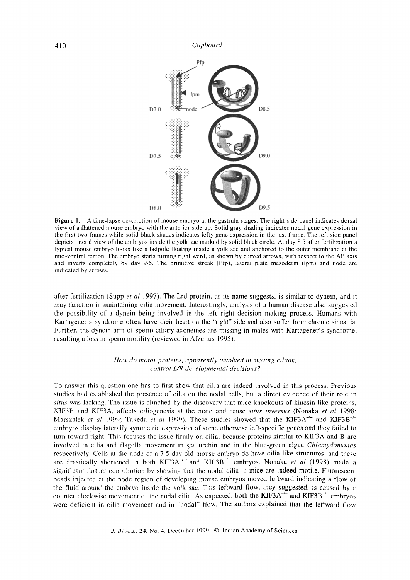

**Figure 1. A** time-lapse description of mouse embryo at the gastrula stages. The right side panel indicates dorsal view of a flattened mouse embryo with the anterior side up. Solid gray shading indicates nodal gene expression in the first two frames while solid black shades indicates lefty gene expression in the last frame. The left side panel depicts lateral view of the embryos inside the yolk sac marked by solid black circle. At day 8.5 after fertilization a typical mouse embryo looks like a tadpole floating inside a yolk sac and anchored to the outer membrane at the mid-ventral region. The embryo starts turning right ward, as shown by curved arrows, with respect to the AP axis and inverts completely by day 9.5. The primitive streak (Pfp), lateral plate mesoderm (lpm) and node are indicated by arrows.

after fertilization (Supp *et al* 1997). The Lrd protein, as its name suggests, is similar to dynein, and it may function in maintaining cilia movement. Interestingly, analysis of a human disease also suggested the possibility of a dynein being involved in the left-right decision making process. Humans with Kartagener's syndrome often have their heart on the "right" side and also suffer from chronic sinusitis. Further, the dynein arm of sperm-ciliary-axonemes are missing in males with Kartagener's syndrome, resulting a loss in sperm motility (reviewed in Afzelius 1995).

#### *How do motor proteins, apparently involved in moving cilium, control L/R developmental decisions?*

To answer this question one has to first show that cilia are indeed involved in this process. Previous studies had established the presence of cilia on the nodal cells, hut a direct evidence of their role in *situs* was lacking. The issue is clinched by the discovery that mice knockouts of kinesin-like-proteins, KtF3B and KIF3A, affects ciliogenesis at the node and cause *situs inversus* (Nonaka *et al* 1998; Marszalek *et al* 1999; Takeda *et al* 1999). These studies showed that the KIF3A<sup>-/-</sup> and KIF3B<sup>-/-</sup> embryos display laterally symmetric expression of some otherwise left-specific genes and they tailed to turn toward right. This focuses the issue firmly on cilia, because proteins similar to KIF3A and B are involved in cilia and flagella movement in sea urchin and in the blue-green algae *Chlamydomonas* respectively. Cells at the node of a 7.5 day q)ld mouse embryo do have cilia like structures, and these are drastically shortened in both KIF3A<sup>---</sup> and KIF3B<sup>--</sup> embryos. Nonaka *et al* (1998) made a significant further contribution by showing that the nodal cilia in mice are indeed motile. Fluorescent beads injected at the node region of developing mouse embryos moved leftward indicating a flow of the fluid around the embryo inside the yolk sac. This leftward flow, they suggested, is caused by a counter clockwise movement of the nodal cilia. As expected, both the KIF3A<sup>-/-</sup> and KIF3B<sup>-/-</sup> embryos were deficient in cilia movement and in "nodal" flow. The authors explained that the leftward flow